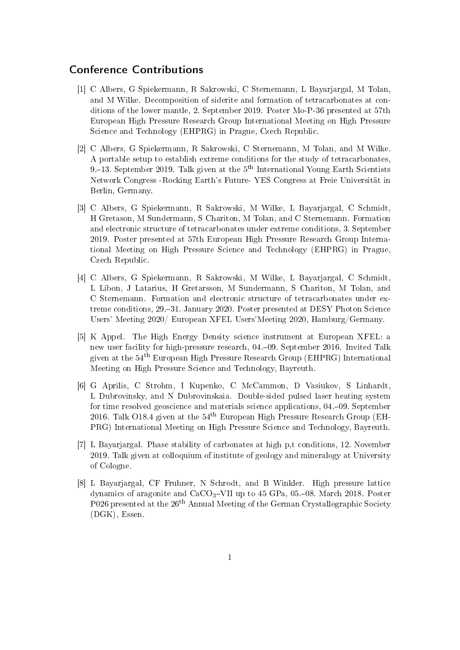## Conference Contributions

- [1] C Albers, G Spiekermann, R Sakrowski, C Sternemann, L Bayarjargal, M Tolan, and M Wilke. Decomposition of siderite and formation of tetracarbonates at conditions of the lower mantle, 2. September 2019. Poster Mo-P-36 presented at 57th European High Pressure Research Group International Meeting on High Pressure Science and Technology (EHPRG) in Prague, Czech Republic.
- [2] C Albers, G Spiekermann, R Sakrowski, C Sternemann, M Tolan, and M Wilke. A portable setup to establish extreme conditions for the study of tetracarbonates, 9.–13. September 2019. Talk given at the  $5<sup>th</sup>$  International Young Earth Scientists Network Congress -Rocking Earth's Future- YES Congress at Freie Universität in Berlin, Germany.
- [3] C Albers, G Spiekermann, R Sakrowski, M Wilke, L Bayarjargal, C Schmidt, H Gretason, M Sundermann, S Chariton, M Tolan, and C Sternemann. Formation and electronic structure of tetracarbonates under extreme conditions, 3. September 2019. Poster presented at 57th European High Pressure Research Group International Meeting on High Pressure Science and Technology (EHPRG) in Prague, Czech Republic.
- [4] C Albers, G Spiekermann, R Sakrowski, M Wilke, L Bayarjargal, C Schmidt, L Libon, J Latarius, H Gretarsson, M Sundermann, S Chariton, M Tolan, and C Sternemann. Formation and electronic structure of tetracarbonates under extreme conditions, 29.–31. January 2020. Poster presented at DESY Photon Science Users' Meeting 2020/ European XFEL Users'Meeting 2020, Hamburg/Germany.
- [5] K Appel. The High Energy Density science instrument at European XFEL: a new user facility for high-pressure research, 04.09. September 2016. Invited Talk given at the 54th European High Pressure Research Group (EHPRG) International Meeting on High Pressure Science and Technology, Bayreuth.
- [6] G Aprilis, C Strohm, I Kupenko, C McCammon, D Vasiukov, S Linhardt, L Dubrovinsky, and N Dubrovinskaia. Double-sided pulsed laser heating system for time resolved geoscience and materials science applications, 04.–09. September 2016. Talk O18.4 given at the  $54<sup>th</sup>$  European High Pressure Research Group (EH-PRG) International Meeting on High Pressure Science and Technology, Bayreuth.
- [7] L Bayarjargal. Phase stability of carbonates at high p,t conditions, 12. November 2019. Talk given at colloquium of institute of geology and mineralogy at University of Cologne.
- [8] L Bayarjargal, CF Fruhner, N Schrodt, and B Winkler. High pressure lattice dynamics of aragonite and  $CaCO<sub>3</sub>-VII$  up to 45 GPa, 05.–08. March 2018. Poster P026 presented at the 26th Annual Meeting of the German Crystallographic Society (DGK), Essen.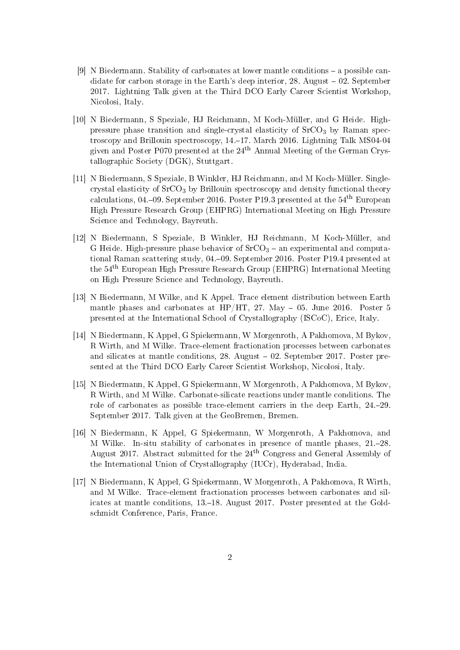- [9] N Biedermann. Stability of carbonates at lower mantle conditions a possible candidate for carbon storage in the Earth's deep interior,  $28$ . August  $-02$ . September 2017. Lightning Talk given at the Third DCO Early Career Scientist Workshop, Nicolosi, Italy.
- [10] N Biedermann, S Speziale, HJ Reichmann, M Koch-Müller, and G Heide. Highpressure phase transition and single-crystal elasticity of  $S<sub>2</sub>CO<sub>3</sub>$  by Raman spectroscopy and Brillouin spectroscopy, 14.17. March 2016. Lightning Talk MS04-04 given and Poster P070 presented at the  $24<sup>th</sup>$  Annual Meeting of the German Crystallographic Society (DGK), Stuttgart.
- [11] N Biedermann, S Speziale, B Winkler, HJ Reichmann, and M Koch-Müller. Singlecrystal elasticity of  $SrCO<sub>3</sub>$  by Brillouin spectroscopy and density functional theory calculations, 04.–09. September 2016. Poster P19.3 presented at the  $54<sup>th</sup>$  European High Pressure Research Group (EHPRG) International Meeting on High Pressure Science and Technology, Bayreuth.
- [12] N Biedermann, S Speziale, B Winkler, HJ Reichmann, M Koch-Müller, and G Heide. High-pressure phase behavior of  $SrCO<sub>3</sub> - an experimental and computa$ tional Raman scattering study, 04.09. September 2016. Poster P19.4 presented at the 54th European High Pressure Research Group (EHPRG) International Meeting on High Pressure Science and Technology, Bayreuth.
- [13] N Biedermann, M Wilke, and K Appel. Trace element distribution between Earth mantle phases and carbonates at HP/HT, 27. May  $-$  05. June 2016. Poster 5 presented at the International School of Crystallography (ISCoC), Erice, Italy.
- [14] N Biedermann, K Appel, G Spiekermann, W Morgenroth, A Pakhomova, M Bykov, R Wirth, and M Wilke. Trace-element fractionation processes between carbonates and silicates at mantle conditions,  $28$ . August  $-02$ . September 2017. Poster presented at the Third DCO Early Career Scientist Workshop, Nicolosi, Italy.
- [15] N Biedermann, K Appel, G Spiekermann, W Morgenroth, A Pakhomova, M Bykov, R Wirth, and M Wilke. Carbonate-silicate reactions under mantle conditions. The role of carbonates as possible trace-element carriers in the deep Earth, 24.29. September 2017. Talk given at the GeoBremen, Bremen.
- [16] N Biedermann, K Appel, G Spiekermann, W Morgenroth, A Pakhomova, and M Wilke. In-situ stability of carbonates in presence of mantle phases, 21.28. August 2017. Abstract submitted for the 24th Congress and General Assembly of the International Union of Crystallography (IUCr), Hyderabad, India.
- [17] N Biedermann, K Appel, G Spiekermann, W Morgenroth, A Pakhomova, R Wirth, and M Wilke. Trace-element fractionation processes between carbonates and silicates at mantle conditions, 13.18. August 2017. Poster presented at the Goldschmidt Conference, Paris, France.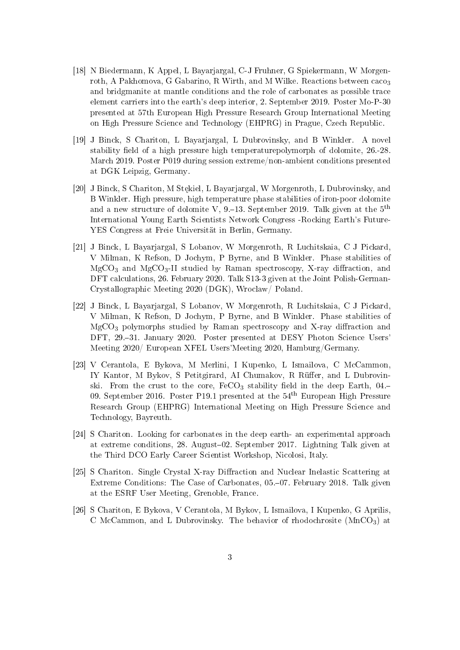- [18] N Biedermann, K Appel, L Bayarjargal, C-J Fruhner, G Spiekermann, W Morgenroth, A Pakhomova, G Gabarino, R Wirth, and M Wilke. Reactions between caco<sub>3</sub> and bridgmanite at mantle conditions and the role of carbonates as possible trace element carriers into the earth's deep interior, 2. September 2019. Poster Mo-P-30 presented at 57th European High Pressure Research Group International Meeting on High Pressure Science and Technology (EHPRG) in Prague, Czech Republic.
- [19] J Binck, S Chariton, L Bayarjargal, L Dubrovinsky, and B Winkler. A novel stability field of a high pressure high temperaturepolymorph of dolomite, 26.-28. March 2019. Poster P019 during session extreme/non-ambient conditions presented at DGK Leipzig, Germany.
- [20] J Binck, S Chariton, M Stekiel, L Bayarjargal, W Morgenroth, L Dubrovinsky, and B Winkler. High pressure, high temperature phase stabilities of iron-poor dolomite and a new structure of dolomite V,  $9-13$ . September 2019. Talk given at the  $5<sup>th</sup>$ International Young Earth Scientists Network Congress -Rocking Earth's Future-YES Congress at Freie Universität in Berlin, Germany.
- [21] J Binck, L Bayarjargal, S Lobanov, W Morgenroth, R Luchitskaia, C J Pickard, V Milman, K Refson, D Jochym, P Byrne, and B Winkler. Phase stabilities of  $MgCO<sub>3</sub>$  and  $MgCO<sub>3</sub>-II$  studied by Raman spectroscopy, X-ray diffraction, and DFT calculations, 26. February 2020. Talk S13-3 given at the Joint Polish-German-Crystallographic Meeting 2020 (DGK), Wroclaw/ Poland.
- [22] J Binck, L Bayarjargal, S Lobanov, W Morgenroth, R Luchitskaia, C J Pickard, V Milman, K Refson, D Jochym, P Byrne, and B Winkler. Phase stabilities of  $MgCO<sub>3</sub>$  polymorphs studied by Raman spectroscopy and X-ray diffraction and DFT, 29.–31. January 2020. Poster presented at DESY Photon Science Users' Meeting 2020/ European XFEL Users'Meeting 2020, Hamburg/Germany.
- [23] V Cerantola, E Bykova, M Merlini, I Kupenko, L Ismailova, C McCammon, IY Kantor, M Bykov, S Petitgirard, AI Chumakov, R Rüffer, and L Dubrovinski. From the crust to the core,  $FeCO<sub>3</sub>$  stability field in the deep Earth, 04.-09. September 2016. Poster P19.1 presented at the  $54<sup>th</sup>$  European High Pressure Research Group (EHPRG) International Meeting on High Pressure Science and Technology, Bayreuth.
- [24] S Chariton. Looking for carbonates in the deep earth- an experimental approach at extreme conditions, 28. August–02. September 2017. Lightning Talk given at the Third DCO Early Career Scientist Workshop, Nicolosi, Italy.
- [25] S Chariton. Single Crystal X-ray Diffraction and Nuclear Inelastic Scattering at Extreme Conditions: The Case of Carbonates, 05.–07. February 2018. Talk given at the ESRF User Meeting, Grenoble, France.
- [26] S Chariton, E Bykova, V Cerantola, M Bykov, L Ismailova, I Kupenko, G Aprilis, C McCammon, and L Dubrovinsky. The behavior of rhodochrosite  $(MnCO<sub>3</sub>)$  at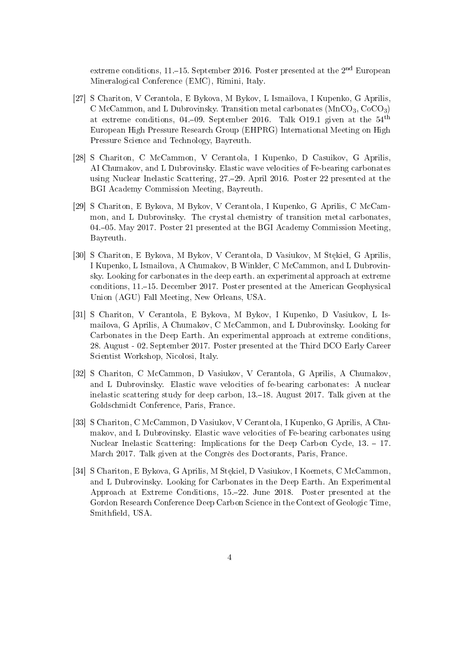extreme conditions, 11.–15. September 2016. Poster presented at the  $2<sup>nd</sup>$  European Mineralogical Conference (EMC), Rimini, Italy.

- [27] S Chariton, V Cerantola, E Bykova, M Bykov, L Ismailova, I Kupenko, G Aprilis, C McCammon, and L Dubrovinsky. Transition metal carbonates  $(MnCO<sub>3</sub>, CoCO<sub>3</sub>)$ at extreme conditions, 04.–09. September 2016. Talk O19.1 given at the  $54<sup>th</sup>$ European High Pressure Research Group (EHPRG) International Meeting on High Pressure Science and Technology, Bayreuth.
- [28] S Chariton, C McCammon, V Cerantola, I Kupenko, D Casuikov, G Aprilis, AI Chumakov, and L Dubrovinsky. Elastic wave velocities of Fe-bearing carbonates using Nuclear Inelastic Scattering, 27.29. April 2016. Poster 22 presented at the BGI Academy Commission Meeting, Bayreuth.
- [29] S Chariton, E Bykova, M Bykov, V Cerantola, I Kupenko, G Aprilis, C McCammon, and L Dubrovinsky. The crystal chemistry of transition metal carbonates, 04.05. May 2017. Poster 21 presented at the BGI Academy Commission Meeting, Bayreuth.
- [30] S Chariton, E Bykova, M Bykov, V Cerantola, D Vasiukov, M Stękiel, G Aprilis, I Kupenko, L Ismailova, A Chumakov, B Winkler, C McCammon, and L Dubrovinsky. Looking for carbonates in the deep earth. an experimental approach at extreme conditions, 11.15. December 2017. Poster presented at the American Geophysical Union (AGU) Fall Meeting, New Orleans, USA.
- [31] S Chariton, V Cerantola, E Bykova, M Bykov, I Kupenko, D Vasiukov, L Ismailova, G Aprilis, A Chumakov, C McCammon, and L Dubrovinsky. Looking for Carbonates in the Deep Earth. An experimental approach at extreme conditions, 28. August - 02. September 2017. Poster presented at the Third DCO Early Career Scientist Workshop, Nicolosi, Italy.
- [32] S Chariton, C McCammon, D Vasiukov, V Cerantola, G Aprilis, A Chumakov, and L Dubrovinsky. Elastic wave velocities of fe-bearing carbonates: A nuclear inelastic scattering study for deep carbon, 13.–18. August 2017. Talk given at the Goldschmidt Conference, Paris, France.
- [33] S Chariton, C McCammon, D Vasiukov, V Cerantola, I Kupenko, G Aprilis, A Chumakov, and L Dubrovinsky. Elastic wave velocities of Fe-bearing carbonates using Nuclear Inelastic Scattering: Implications for the Deep Carbon Cycle,  $13. - 17$ . March 2017. Talk given at the Congrès des Doctorants, Paris, France.
- [34] S Chariton, E Bykova, G Aprilis, M Stekiel, D Vasiukov, I Koemets, C McCammon, and L Dubrovinsky. Looking for Carbonates in the Deep Earth. An Experimental Approach at Extreme Conditions, 15.22. June 2018. Poster presented at the Gordon Research Conference Deep Carbon Science in the Context of Geologic Time, Smitheld, USA.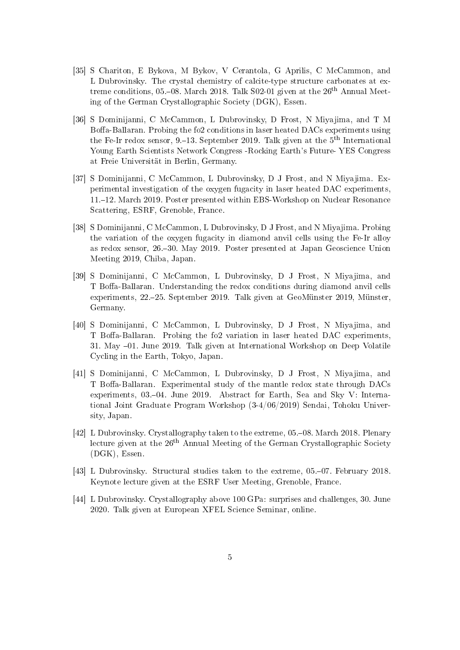- [35] S Chariton, E Bykova, M Bykov, V Cerantola, G Aprilis, C McCammon, and L Dubrovinsky. The crystal chemistry of calcite-type structure carbonates at extreme conditions, 05.–08. March 2018. Talk S02-01 given at the  $26<sup>th</sup>$  Annual Meeting of the German Crystallographic Society (DGK), Essen.
- [36] S Dominijanni, C McCammon, L Dubrovinsky, D Frost, N Miyajima, and T M Boffa-Ballaran. Probing the fo2 conditions in laser heated DACs experiments using the Fe-Ir redox sensor, 9.–13. September 2019. Talk given at the  $5<sup>th</sup>$  International Young Earth Scientists Network Congress -Rocking Earth's Future- YES Congress at Freie Universität in Berlin, Germany.
- [37] S Dominijanni, C McCammon, L Dubrovinsky, D J Frost, and N Miyajima. Experimental investigation of the oxygen fugacity in laser heated DAC experiments, 11.12. March 2019. Poster presented within EBS-Workshop on Nuclear Resonance Scattering, ESRF, Grenoble, France.
- [38] S Dominijanni, C McCammon, L Dubrovinsky, D J Frost, and N Miyajima. Probing the variation of the oxygen fugacity in diamond anvil cells using the Fe-Ir alloy as redox sensor, 26.30. May 2019. Poster presented at Japan Geoscience Union Meeting 2019, Chiba, Japan.
- [39] S Dominijanni, C McCammon, L Dubrovinsky, D J Frost, N Miyajima, and T Boffa-Ballaran. Understanding the redox conditions during diamond anvil cells experiments, 22.25. September 2019. Talk given at GeoMünster 2019, Münster, Germany.
- [40] S Dominijanni, C McCammon, L Dubrovinsky, D J Frost, N Miyajima, and T Boffa-Ballaran. Probing the fo2 variation in laser heated DAC experiments, 31. May  $-01$ . June 2019. Talk given at International Workshop on Deep Volatile Cycling in the Earth, Tokyo, Japan.
- [41] S Dominijanni, C McCammon, L Dubrovinsky, D J Frost, N Miyajima, and T Boffa-Ballaran. Experimental study of the mantle redox state through DACs experiments, 03.–04. June 2019. Abstract for Earth, Sea and Sky V: International Joint Graduate Program Workshop (3-4/06/2019) Sendai, Tohoku University, Japan.
- [42] L Dubrovinsky. Crystallography taken to the extreme, 05.–08. March 2018. Plenary lecture given at the  $26<sup>th</sup>$  Annual Meeting of the German Crystallographic Society (DGK), Essen.
- [43] L Dubrovinsky. Structural studies taken to the extreme, 05.–07. February 2018. Keynote lecture given at the ESRF User Meeting, Grenoble, France.
- [44] L Dubrovinsky. Crystallography above 100 GPa: surprises and challenges, 30. June 2020. Talk given at European XFEL Science Seminar, online.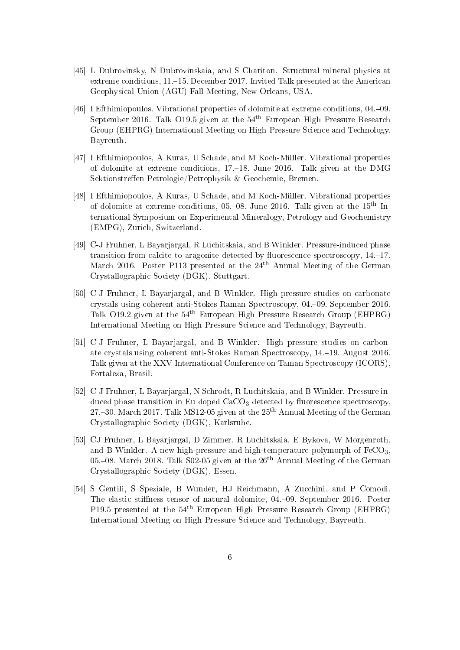- [45] L Dubrovinsky, N Dubrovinskaia, and S Chariton. Structural mineral physics at extreme conditions, 11.–15. December 2017. Invited Talk presented at the American Geophysical Union (AGU) Fall Meeting, New Orleans, USA.
- [46] I Efthimiopoulos. Vibrational properties of dolomite at extreme conditions, 04.–09. September 2016. Talk O19.5 given at the 54th European High Pressure Research Group (EHPRG) International Meeting on High Pressure Science and Technology, Bayreuth.
- [47] I Efthimiopoulos, A Kuras, U Schade, and M Koch-Müller. Vibrational properties of dolomite at extreme conditions, 17.18. June 2016. Talk given at the DMG Sektionstreffen Petrologie/Petrophysik & Geochemie, Bremen.
- [48] I Efthimiopoulos, A Kuras, U Schade, and M Koch-Müller. Vibrational properties of dolomite at extreme conditions, 05.–08. June 2016. Talk given at the  $15<sup>th</sup>$  International Symposium on Experimental Mineralogy, Petrology and Geochemistry (EMPG), Zurich, Switzerland.
- [49] C-J Fruhner, L Bayarjargal, R Luchitskaia, and B Winkler. Pressure-induced phase transition from calcite to aragonite detected by fluorescence spectroscopy,  $14-17$ . March 2016. Poster P113 presented at the  $24<sup>th</sup>$  Annual Meeting of the German Crystallographic Society (DGK), Stuttgart.
- [50] C-J Fruhner, L Bayarjargal, and B Winkler. High pressure studies on carbonate crystals using coherent anti-Stokes Raman Spectroscopy, 04.09. September 2016. Talk O19.2 given at the 54th European High Pressure Research Group (EHPRG) International Meeting on High Pressure Science and Technology, Bayreuth.
- [51] C-J Fruhner, L Bayarjargal, and B Winkler. High pressure studies on carbonate crystals using coherent anti-Stokes Raman Spectroscopy, 14.19. August 2016. Talk given at the XXV International Conference on Taman Spectroscopy (ICORS), Fortaleza, Brasil.
- [52] C-J Fruhner, L Bayarjargal, N Schrodt, R Luchitskaia, and B Winkler. Pressure induced phase transition in Eu doped  $CaCO<sub>3</sub>$  detected by fluorescence spectroscopy, 27.–30. March 2017. Talk MS12-05 given at the  $25<sup>th</sup>$  Annual Meeting of the German Crystallographic Society (DGK), Karlsruhe.
- [53] CJ Fruhner, L Bayarjargal, D Zimmer, R Luchitskaia, E Bykova, W Morgenroth, and B Winkler. A new high-pressure and high-temperature polymorph of  $FeCO<sub>3</sub>$ , 05.–08. March 2018. Talk  $S$ 02-05 given at the  $26<sup>th</sup>$  Annual Meeting of the German Crystallographic Society (DGK), Essen.
- [54] S Gentili, S Speziale, B Wunder, HJ Reichmann, A Zucchini, and P Comodi. The elastic stiffness tensor of natural dolomite, 04.–09. September 2016. Poster P19.5 presented at the 54th European High Pressure Research Group (EHPRG) International Meeting on High Pressure Science and Technology, Bayreuth.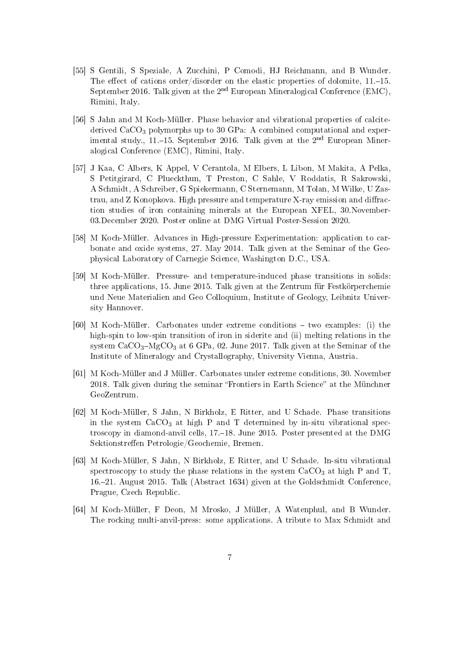- [55] S Gentili, S Speziale, A Zucchini, P Comodi, HJ Reichmann, and B Wunder. The effect of cations order/disorder on the elastic properties of dolomite,  $11,-15$ . September 2016. Talk given at the 2<sup>nd</sup> European Mineralogical Conference (EMC), Rimini, Italy.
- [56] S Jahn and M Koch-Müller. Phase behavior and vibrational properties of calcitederived  $CaCO<sub>3</sub>$  polymorphs up to 30 GPa: A combined computational and experimental study., 11.–15. September 2016. Talk given at the  $2<sup>nd</sup>$  European Mineralogical Conference (EMC), Rimini, Italy.
- [57] J Kaa, C Albers, K Appel, V Cerantola, M Elbers, L Libon, M Makita, A Pelka, S Petitgirard, C Plueckthun, T Preston, C Sahle, V Roddatis, R Sakrowski, A Schmidt, A Schreiber, G Spiekermann, C Sternemann, M Tolan, M Wilke, U Zastrau, and Z Konopkova. High pressure and temperature X-ray emission and diffraction studies of iron containing minerals at the European XFEL, 30.November-03.December 2020. Poster online at DMG Virtual Poster-Session 2020.
- [58] M Koch-Müller. Advances in High-pressure Experimentation: application to carbonate and oxide systems, 27. May 2014. Talk given at the Seminar of the Geophysical Laboratory of Carnegie Science, Washington D.C., USA.
- [59] M Koch-Müller. Pressure- and temperature-induced phase transitions in solids: three applications, 15. June 2015. Talk given at the Zentrum für Festkörperchemie und Neue Materialien and Geo Colloquium, Institute of Geology, Leibnitz University Hannover.
- [60] M Koch-Müller. Carbonates under extreme conditions  $-$  two examples: (i) the high-spin to low-spin transition of iron in siderite and (ii) melting relations in the system  $CaCO<sub>3</sub>-MgCO<sub>3</sub>$  at 6 GPa, 02. June 2017. Talk given at the Seminar of the Institute of Mineralogy and Crystallography, University Vienna, Austria.
- [61] M Koch-Müller and J Müller. Carbonates under extreme conditions, 30. November 2018. Talk given during the seminar "Frontiers in Earth Science" at the Münchner GeoZentrum.
- [62] M Koch-Müller, S Jahn, N Birkholz, E Ritter, and U Schade. Phase transitions in the system  $CaCO<sub>3</sub>$  at high P and T determined by in-situ vibrational spectroscopy in diamond-anvil cells, 17.18. June 2015. Poster presented at the DMG Sektionstreffen Petrologie/Geochemie, Bremen.
- [63] M Koch-Müller, S Jahn, N Birkholz, E Ritter, and U Schade. In-situ vibrational spectroscopy to study the phase relations in the system  $CaCO<sub>3</sub>$  at high P and T, 16.21. August 2015. Talk (Abstract 1634) given at the Goldschmidt Conference, Prague, Czech Republic.
- [64] M Koch-Müller, F Deon, M Mrosko, J Müller, A Watenphul, and B Wunder. The rocking multi-anvil-press: some applications. A tribute to Max Schmidt and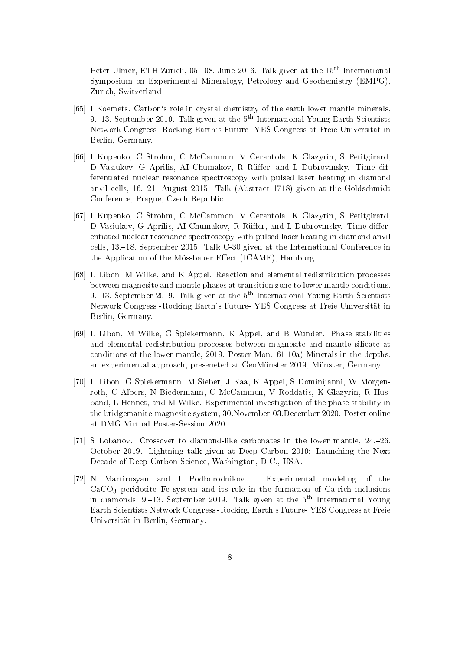Peter Ulmer, ETH Zürich, 05.–08. June 2016. Talk given at the 15<sup>th</sup> International Symposium on Experimental Mineralogy, Petrology and Geochemistry (EMPG), Zurich, Switzerland.

- [65] I Koemets. Carbon's role in crystal chemistry of the earth lower mantle minerals, 9.–13. September 2019. Talk given at the  $5<sup>th</sup>$  International Young Earth Scientists Network Congress -Rocking Earth's Future- YES Congress at Freie Universität in Berlin, Germany.
- [66] I Kupenko, C Strohm, C McCammon, V Cerantola, K Glazyrin, S Petitgirard, D Vasiukov, G Aprilis, AI Chumakov, R Rüffer, and L Dubrovinsky. Time differentiated nuclear resonance spectroscopy with pulsed laser heating in diamond anvil cells, 16.21. August 2015. Talk (Abstract 1718) given at the Goldschmidt Conference, Prague, Czech Republic.
- [67] I Kupenko, C Strohm, C McCammon, V Cerantola, K Glazyrin, S Petitgirard, D Vasiukov, G Aprilis, AI Chumakov, R Rüffer, and L Dubrovinsky. Time differentiated nuclear resonance spectroscopy with pulsed laser heating in diamond anvil cells, 13.18. September 2015. Talk C-30 given at the International Conference in the Application of the Mössbauer Effect (ICAME), Hamburg.
- [68] L Libon, M Wilke, and K Appel. Reaction and elemental redistribution processes between magnesite and mantle phases at transition zone to lower mantle conditions, 9.–13. September 2019. Talk given at the  $5<sup>th</sup>$  International Young Earth Scientists Network Congress -Rocking Earth's Future- YES Congress at Freie Universität in Berlin, Germany.
- [69] L Libon, M Wilke, G Spiekermann, K Appel, and B Wunder. Phase stabilities and elemental redistribution processes between magnesite and mantle silicate at conditions of the lower mantle, 2019. Poster Mon: 61 10a) Minerals in the depths: an experimental approach, preseneted at GeoMünster 2019, Münster, Germany.
- [70] L Libon, G Spiekermann, M Sieber, J Kaa, K Appel, S Dominijanni, W Morgenroth, C Albers, N Biedermann, C McCammon, V Roddatis, K Glazyrin, R Husband, L Hennet, and M Wilke. Experimental investigation of the phase stability in the bridgemanite-magnesite system, 30.November-03.December 2020. Poster online at DMG Virtual Poster-Session 2020.
- [71] S Lobanov. Crossover to diamond-like carbonates in the lower mantle, 24.26. October 2019. Lightning talk given at Deep Carbon 2019: Launching the Next Decade of Deep Carbon Science, Washington, D.C., USA.
- [72] N Martirosyan and I Podborodnikov. Experimental modeling of the  $CaCO<sub>3</sub>-periodotic-Fe$  system and its role in the formation of Ca-rich inclusions in diamonds, 9.–13. September 2019. Talk given at the  $5<sup>th</sup>$  International Young Earth Scientists Network Congress -Rocking Earth's Future- YES Congress at Freie Universität in Berlin, Germany.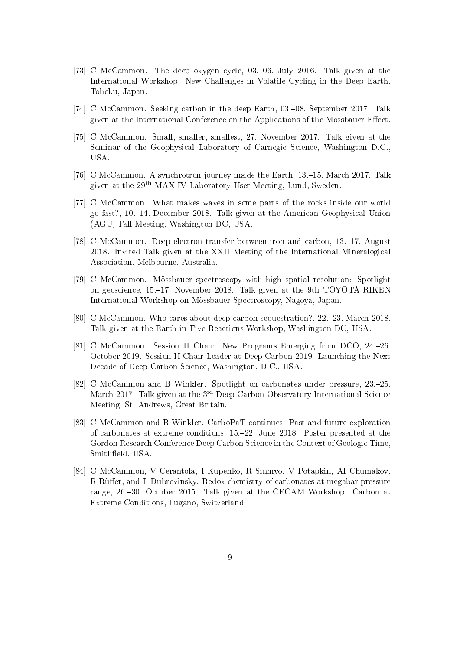- [73] C McCammon. The deep oxygen cycle, 03.–06. July 2016. Talk given at the International Workshop: New Challenges in Volatile Cycling in the Deep Earth, Tohoku, Japan.
- [74] C McCammon. Seeking carbon in the deep Earth, 03.-08. September 2017. Talk given at the International Conference on the Applications of the Mössbauer Effect.
- [75] C McCammon. Small, smaller, smallest, 27. November 2017. Talk given at the Seminar of the Geophysical Laboratory of Carnegie Science, Washington D.C., USA.
- [76] C McCammon. A synchrotron journey inside the Earth, 13.–15. March 2017. Talk given at the 29th MAX IV Laboratory User Meeting, Lund, Sweden.
- [77] C McCammon. What makes waves in some parts of the rocks inside our world go fast?, 10.14. December 2018. Talk given at the American Geophysical Union (AGU) Fall Meeting, Washington DC, USA.
- [78] C McCammon. Deep electron transfer between iron and carbon, 13.–17. August 2018. Invited Talk given at the XXII Meeting of the International Mineralogical Association, Melbourne, Australia.
- [79] C McCammon. Mössbauer spectroscopy with high spatial resolution: Spotlight on geoscience, 15.17. November 2018. Talk given at the 9th TOYOTA RIKEN International Workshop on Mössbauer Spectroscopy, Nagoya, Japan.
- [80] C McCammon. Who cares about deep carbon sequestration?, 22.–23. March 2018. Talk given at the Earth in Five Reactions Workshop, Washington DC, USA.
- [81] C McCammon. Session II Chair: New Programs Emerging from DCO, 24.26. October 2019. Session II Chair Leader at Deep Carbon 2019: Launching the Next Decade of Deep Carbon Science, Washington, D.C., USA.
- [82] C McCammon and B Winkler. Spotlight on carbonates under pressure, 23.–25. March 2017. Talk given at the 3<sup>rd</sup> Deep Carbon Observatory International Science Meeting, St. Andrews, Great Britain.
- [83] C McCammon and B Winkler. CarboPaT continues! Past and future exploration of carbonates at extreme conditions, 15.22. June 2018. Poster presented at the Gordon Research Conference Deep Carbon Science in the Context of Geologic Time, Smitheld, USA.
- [84] C McCammon, V Cerantola, I Kupenko, R Sinmyo, V Potapkin, AI Chumakov, R Rüffer, and L Dubrovinsky. Redox chemistry of carbonates at megabar pressure range, 26.30. October 2015. Talk given at the CECAM Workshop: Carbon at Extreme Conditions, Lugano, Switzerland.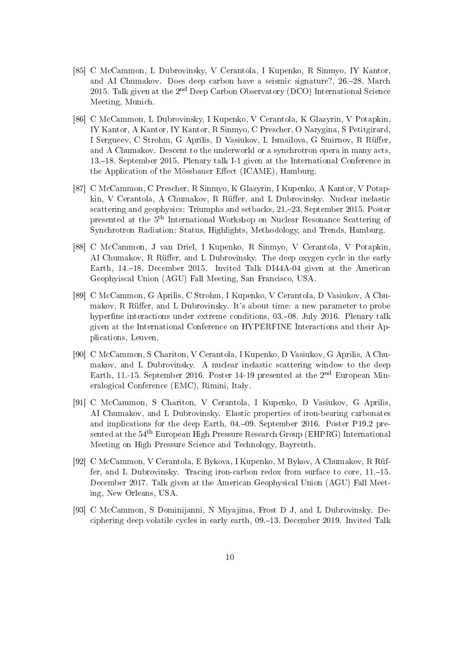- [85] C McCammon, L Dubrovinsky, V Cerantola, I Kupenko, R Sinmyo, IY Kantor, and AI Chumakov. Does deep carbon have a seismic signature?, 26.28. March 2015. Talk given at the  $2^{nd}$  Deep Carbon Observatory (DCO) International Science Meeting, Munich.
- [86] C McCammon, L Dubrovinsky, I Kupenko, V Cerantola, K Glazyrin, V Potapkin, IY Kantor, A Kantor, IY Kantor, R Sinmyo, C Prescher, O Narygina, S Petitgirard, I Sergueev, C Strohm, G Aprilis, D Vasiukov, L Ismailova, G Smirnov, R Rüffer, and A Chumakov. Descent to the underworld or a synchrotron opera in many acts, 13.18. September 2015. Plenary talk I-1 given at the International Conference in the Application of the Mössbauer Effect (ICAME), Hamburg.
- [87] C McCammon, C Prescher, R Sinmyo, K Glazyrin, I Kupenko, A Kantor, V Potapkin, V Cerantola, A Chumakov, R Rüffer, and L Dubrovinsky. Nuclear inelastic scattering and geophysics: Triumphs and setbacks, 21.–23. September 2015. Poster presented at the 5th International Workshop on Nuclear Resonance Scattering of Synchrotron Radiation: Status, Highlights, Methodology, and Trends, Hamburg.
- [88] C McCammon, J van Driel, I Kupenko, R Sinmyo, V Cerantola, V Potapkin, AI Chumakov, R Rüffer, and L Dubrovinsky. The deep oxygen cycle in the early Earth, 14.18. December 2015. Invited Talk DI44A-04 given at the American Geophyiscal Union (AGU) Fall Meeting, San Francisco, USA.
- [89] C McCammon, G Aprilis, C Strohm, I Kupenko, V Cerantola, D Vasiukov, A Chumakov, R Rüffer, and L Dubrovinsky. It's about time: a new parameter to probe hyperfine interactions under extreme conditions, 03.–08. July 2016. Plenary talk given at the International Conference on HYPERFINE Interactions and their Applications, Leuven.
- [90] C McCammon, S Chariton, V Cerantola, I Kupenko, D Vasiukov, G Aprilis, A Chumakov, and L Dubrovinsky. A nuclear inelastic scattering window to the deep Earth, 11.-15. September 2016. Poster 14-19 presented at the  $2<sup>nd</sup>$  European Mineralogical Conference (EMC), Rimini, Italy.
- [91] C McCammon, S Chariton, V Cerantola, I Kupenko, D Vasiukov, G Aprilis, AI Chumakov, and L Dubrovinsky. Elastic properties of iron-bearing carbonates and implications for the deep Earth, 04.09. September 2016. Poster P19.2 presented at the  $54<sup>th</sup>$  European High Pressure Research Group (EHPRG) International Meeting on High Pressure Science and Technology, Bayreuth.
- [92] C McCammon, V Cerantola, E Bykova, I Kupenko, M Bykov, A Chumakov, R Rüffer, and L Dubrovinsky. Tracing iron-carbon redox from surface to core,  $11-15$ . December 2017. Talk given at the American Geophysical Union (AGU) Fall Meeting, New Orleans, USA.
- [93] C McCammon, S Dominijanni, N Miyajima, Frost D J, and L Dubrovinsky. Deciphering deep volatile cycles in early earth, 09.13. December 2019. Invited Talk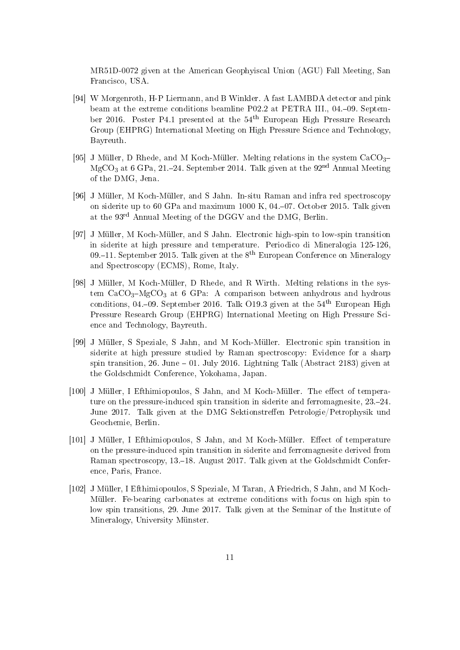MR51D-0072 given at the American Geophyiscal Union (AGU) Fall Meeting, San Francisco, USA.

- [94] W Morgenroth, H-P Liermann, and B Winkler. A fast LAMBDA detector and pink beam at the extreme conditions beamline P02.2 at PETRA III., 04.-09. September 2016. Poster P4.1 presented at the 54th European High Pressure Research Group (EHPRG) International Meeting on High Pressure Science and Technology, Bayreuth.
- [95] J Müller, D Rhede, and M Koch-Müller. Melting relations in the system  $CaCO<sub>3</sub>$ MgCO<sub>3</sub> at 6 GPa, 21.–24. September 2014. Talk given at the  $92<sup>nd</sup>$  Annual Meeting of the DMG, Jena.
- [96] J Müller, M Koch-Müller, and S Jahn. In-situ Raman and infra red spectroscopy on siderite up to 60 GPa and maximum 1000 K, 04.07. October 2015. Talk given at the 93rd Annual Meeting of the DGGV and the DMG, Berlin.
- [97] J Müller, M Koch-Müller, and S Jahn. Electronic high-spin to low-spin transition in siderite at high pressure and temperature. Periodico di Mineralogia 125-126, 09.–11. September 2015. Talk given at the  $8<sup>th</sup>$  European Conference on Mineralogy and Spectroscopy (ECMS), Rome, Italy.
- [98] J Müller, M Koch-Müller, D Rhede, and R Wirth. Melting relations in the system  $CaCO<sub>3</sub>-MgCO<sub>3</sub>$  at 6 GPa: A comparison between anhydrous and hydrous conditions, 04.-09. September 2016. Talk O19.3 given at the  $54<sup>th</sup>$  European High Pressure Research Group (EHPRG) International Meeting on High Pressure Science and Technology, Bayreuth.
- [99] J Müller, S Speziale, S Jahn, and M Koch-Müller. Electronic spin transition in siderite at high pressure studied by Raman spectroscopy: Evidence for a sharp spin transition, 26. June  $-01$ . July 2016. Lightning Talk (Abstract 2183) given at the Goldschmidt Conference, Yokohama, Japan.
- [100] J Müller, I Efthimiopoulos, S Jahn, and M Koch-Müller. The effect of temperature on the pressure-induced spin transition in siderite and ferromagnesite,  $23-24$ . June 2017. Talk given at the DMG Sektionstreffen Petrologie/Petrophysik und Geochemie, Berlin.
- [101] J Müller, I Efthimiopoulos, S Jahn, and M Koch-Müller. Effect of temperature on the pressure-induced spin transition in siderite and ferromagnesite derived from Raman spectroscopy, 13.–18. August 2017. Talk given at the Goldschmidt Conference, Paris, France.
- [102] J Müller, I Efthimiopoulos, S Speziale, M Taran, A Friedrich, S Jahn, and M Koch-Müller. Fe-bearing carbonates at extreme conditions with focus on high spin to low spin transitions, 29. June 2017. Talk given at the Seminar of the Institute of Mineralogy, University Münster.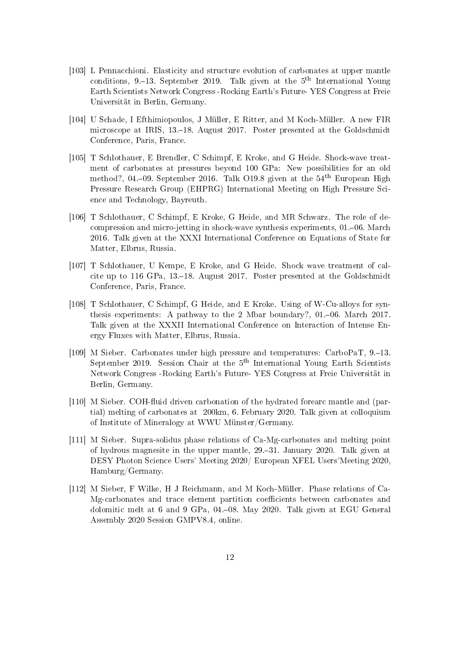- [103] L Pennacchioni. Elasticity and structure evolution of carbonates at upper mantle conditions, 9.–13. September 2019. Talk given at the  $5<sup>th</sup>$  International Young Earth Scientists Network Congress -Rocking Earth's Future- YES Congress at Freie Universität in Berlin, Germany.
- [104] U Schade, I Efthimiopoulos, J Müller, E Ritter, and M Koch-Müller. A new FIR microscope at IRIS, 13.–18. August 2017. Poster presented at the Goldschmidt Conference, Paris, France.
- [105] T Schlothauer, E Brendler, C Schimpf, E Kroke, and G Heide. Shock-wave treatment of carbonates at pressures beyond 100 GPa: New possibilities for an old method?, 04.–09. September 2016. Talk O19.8 given at the  $54<sup>th</sup>$  European High Pressure Research Group (EHPRG) International Meeting on High Pressure Science and Technology, Bayreuth.
- [106] T Schlothauer, C Schimpf, E Kroke, G Heide, and MR Schwarz. The role of decompression and micro-jetting in shock-wave synthesis experiments,  $01$ – $06$ . March 2016. Talk given at the XXXI International Conference on Equations of State for Matter, Elbrus, Russia.
- [107] T Schlothauer, U Kempe, E Kroke, and G Heide. Shock wave treatment of calcite up to 116 GPa,  $13,-18$ . August 2017. Poster presented at the Goldschmidt Conference, Paris, France.
- [108] T Schlothauer, C Schimpf, G Heide, and E Kroke. Using of W-Cu-alloys for synthesis experiments: A pathway to the 2 Mbar boundary?, 01.–06. March 2017. Talk given at the XXXII International Conference on Interaction of Intense Energy Fluxes with Matter, Elbrus, Russia.
- [109] M Sieber. Carbonates under high pressure and temperatures: CarboPaT, 9.13. September 2019. Session Chair at the  $5<sup>th</sup>$  International Young Earth Scientists Network Congress -Rocking Earth's Future- YES Congress at Freie Universität in Berlin, Germany.
- [110] M Sieber. COH-fluid driven carbonation of the hydrated forearc mantle and (partial) melting of carbonates at 200km, 6. February 2020. Talk given at colloquium of Institute of Mineralogy at WWU Münster/Germany.
- [111] M Sieber. Supra-solidus phase relations of Ca-Mg-carbonates and melting point of hydrous magnesite in the upper mantle, 29.–31. January 2020. Talk given at DESY Photon Science Users' Meeting 2020/ European XFEL Users'Meeting 2020, Hamburg/Germany.
- [112] M Sieber, F Wilke, H J Reichmann, and M Koch-Müller. Phase relations of Ca-Mg-carbonates and trace element partition coefficients between carbonates and dolomitic melt at 6 and 9 GPa, 04.08. May 2020. Talk given at EGU General Assembly 2020 Session GMPV8.4, online.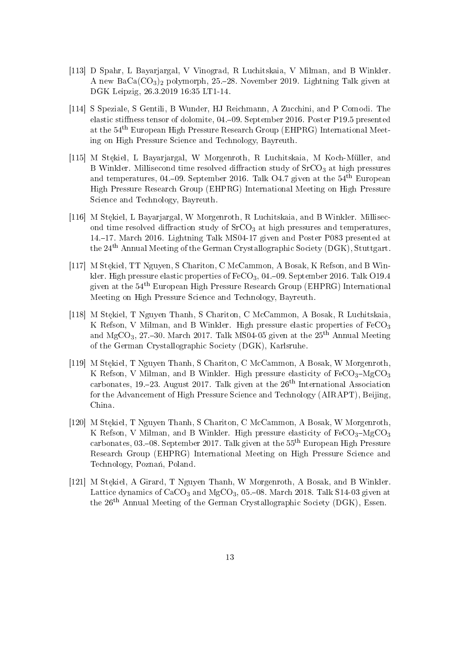- [113] D Spahr, L Bayarjargal, V Vinograd, R Luchitskaia, V Milman, and B Winkler. A new  $BaCa(CO<sub>3</sub>)<sub>2</sub>$  polymorph, 25.–28. November 2019. Lightning Talk given at DGK Leipzig, 26.3.2019 16:35 LT1-14.
- [114] S Speziale, S Gentili, B Wunder, HJ Reichmann, A Zucchini, and P Comodi. The elastic stiness tensor of dolomite, 04.09. September 2016. Poster P19.5 presented at the 54th European High Pressure Research Group (EHPRG) International Meeting on High Pressure Science and Technology, Bayreuth.
- [115] M Stekiel, L Bayarjargal, W Morgenroth, R Luchitskaia, M Koch-Müller, and B Winkler. Millisecond time resolved diffraction study of  $S<sub>2</sub>CO<sub>3</sub>$  at high pressures and temperatures, 04.–09. September 2016. Talk O4.7 given at the  $54<sup>th</sup>$  European High Pressure Research Group (EHPRG) International Meeting on High Pressure Science and Technology, Bayreuth.
- [116] M Stekiel, L Bayarjargal, W Morgenroth, R Luchitskaia, and B Winkler. Millisecond time resolved diffraction study of  $S<sub>r</sub>CO<sub>3</sub>$  at high pressures and temperatures, 14.17. March 2016. Lightning Talk MS04-17 given and Poster P083 presented at the 24th Annual Meeting of the German Crystallographic Society (DGK), Stuttgart.
- [117] M Stekiel, TT Nguyen, S Chariton, C McCammon, A Bosak, K Refson, and B Winkler. High pressure elastic properties of  $FeCO<sub>3</sub>$ , 04.–09. September 2016. Talk O19.4 given at the 54th European High Pressure Research Group (EHPRG) International Meeting on High Pressure Science and Technology, Bayreuth.
- [118] M Stekiel, T Nguyen Thanh, S Chariton, C McCammon, A Bosak, R Luchitskaia, K Refson, V Milman, and B Winkler. High pressure elastic properties of  $FeCO<sub>3</sub>$ and MgCO<sub>3</sub>, 27,–30. March 2017. Talk MS04-05 given at the  $25<sup>th</sup>$  Annual Meeting of the German Crystallographic Society (DGK), Karlsruhe.
- [119] M Stekiel, T Nguyen Thanh, S Chariton, C McCammon, A Bosak, W Morgenroth, K Refson, V Milman, and B Winkler. High pressure elasticity of  $FeCO<sub>3</sub>-MgCO<sub>3</sub>$ carbonates, 19.–23. August 2017. Talk given at the  $26<sup>th</sup>$  International Association for the Advancement of High Pressure Science and Technology (AIRAPT), Beijing, China.
- [120] M Stekiel, T Nguyen Thanh, S Chariton, C McCammon, A Bosak, W Morgenroth, K Refson, V Milman, and B Winkler. High pressure elasticity of  $FeCO<sub>3</sub>-MgCO<sub>3</sub>$ carbonates, 03.–08. September 2017. Talk given at the  $55<sup>th</sup>$  European High Pressure Research Group (EHPRG) International Meeting on High Pressure Science and Technology, Poznań, Poland.
- [121] M Stekiel, A Girard, T Nguyen Thanh, W Morgenroth, A Bosak, and B Winkler. Lattice dynamics of  $CaCO<sub>3</sub>$  and  $MgCO<sub>3</sub>$ , 05.–08. March 2018. Talk S14-03 given at the 26th Annual Meeting of the German Crystallographic Society (DGK), Essen.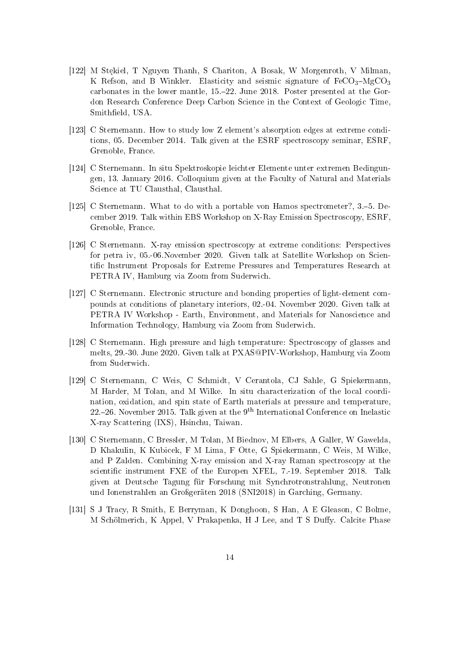- [122] M Stekiel, T Nguyen Thanh, S Chariton, A Bosak, W Morgenroth, V Milman, K Refson, and B Winkler. Elasticity and seismic signature of  $FeCO<sub>3</sub>-MgCO<sub>3</sub>$ carbonates in the lower mantle, 15.22. June 2018. Poster presented at the Gordon Research Conference Deep Carbon Science in the Context of Geologic Time, Smitheld, USA.
- [123] C Sternemann. How to study low Z element's absorption edges at extreme conditions, 05. December 2014. Talk given at the ESRF spectroscopy seminar, ESRF, Grenoble, France.
- [124] C Sternemann. In situ Spektroskopie leichter Elemente unter extremen Bedingungen, 13. January 2016. Colloquium given at the Faculty of Natural and Materials Science at TU Clausthal, Clausthal.
- [125] C Sternemann. What to do with a portable von Hamos spectrometer?, 3.-5. December 2019. Talk within EBS Workshop on X-Ray Emission Spectroscopy, ESRF, Grenoble, France.
- [126] C Sternemann. X-ray emission spectroscopy at extreme conditions: Perspectives for petra iv, 05.-06.November 2020. Given talk at Satellite Workshop on Scientific Instrument Proposals for Extreme Pressures and Temperatures Research at PETRA IV, Hamburg via Zoom from Suderwich.
- [127] C Sternemann. Electronic structure and bonding properties of light-element compounds at conditions of planetary interiors, 02.-04. November 2020. Given talk at PETRA IV Workshop - Earth, Environment, and Materials for Nanoscience and Information Technology, Hamburg via Zoom from Suderwich.
- [128] C Sternemann. High pressure and high temperature: Spectroscopy of glasses and melts, 29.-30. June 2020. Given talk at PXAS@PIV-Workshop, Hamburg via Zoom from Suderwich.
- [129] C Sternemann, C Weis, C Schmidt, V Cerantola, CJ Sahle, G Spiekermann, M Harder, M Tolan, and M Wilke. In situ characterization of the local coordination, oxidation, and spin state of Earth materials at pressure and temperature, 22.–26. November 2015. Talk given at the  $9<sup>th</sup>$  International Conference on Inelastic X-ray Scattering (IXS), Hsinchu, Taiwan.
- [130] C Sternemann, C Bressler, M Tolan, M Biednov, M Elbers, A Galler, W Gawelda, D Khakulin, K Kubicek, F M Lima, F Otte, G Spiekermann, C Weis, M Wilke, and P Zalden. Combining X-ray emission and X-ray Raman spectroscopy at the scientific instrument FXE of the Europen XFEL, 7.-19. September 2018. Talk given at Deutsche Tagung für Forschung mit Synchrotronstrahlung, Neutronen und Ionenstrahlen an Großgeräten 2018 (SNI2018) in Garching, Germany.
- [131] S J Tracy, R Smith, E Berryman, K Donghoon, S Han, A E Gleason, C Bolme, M Schölmerich, K Appel, V Prakapenka, H J Lee, and T S Duffy. Calcite Phase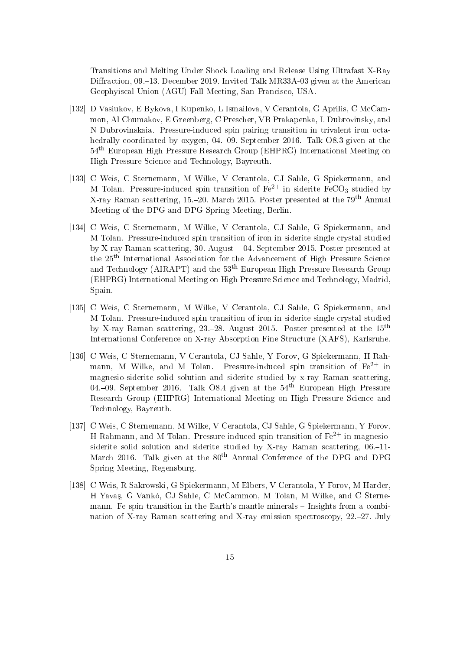Transitions and Melting Under Shock Loading and Release Using Ultrafast X-Ray Diffraction, 09.–13. December 2019. Invited Talk MR33A-03 given at the American Geophyiscal Union (AGU) Fall Meeting, San Francisco, USA.

- [132] D Vasiukov, E Bykova, I Kupenko, L Ismailova, V Cerantola, G Aprilis, C McCammon, AI Chumakov, E Greenberg, C Prescher, VB Prakapenka, L Dubrovinsky, and N Dubrovinskaia. Pressure-induced spin pairing transition in trivalent iron octahedrally coordinated by oxygen, 04.09. September 2016. Talk O8.3 given at the 54th European High Pressure Research Group (EHPRG) International Meeting on High Pressure Science and Technology, Bayreuth.
- [133] C Weis, C Sternemann, M Wilke, V Cerantola, CJ Sahle, G Spiekermann, and M Tolan. Pressure-induced spin transition of  $Fe^{2+}$  in siderite  $FeCO<sub>3</sub>$  studied by X-ray Raman scattering, 15.20. March 2015. Poster presented at the 79th Annual Meeting of the DPG and DPG Spring Meeting, Berlin.
- [134] C Weis, C Sternemann, M Wilke, V Cerantola, CJ Sahle, G Spiekermann, and M Tolan. Pressure-induced spin transition of iron in siderite single crystal studied by X-ray Raman scattering, 30. August 04. September 2015. Poster presented at the 25th International Association for the Advancement of High Pressure Science and Technology (AIRAPT) and the 53<sup>th</sup> European High Pressure Research Group (EHPRG) International Meeting on High Pressure Science and Technology, Madrid, Spain.
- [135] C Weis, C Sternemann, M Wilke, V Cerantola, CJ Sahle, G Spiekermann, and M Tolan. Pressure-induced spin transition of iron in siderite single crystal studied by X-ray Raman scattering, 23.–28. August 2015. Poster presented at the  $15<sup>th</sup>$ International Conference on X-ray Absorption Fine Structure (XAFS), Karlsruhe.
- [136] C Weis, C Sternemann, V Cerantola, CJ Sahle, Y Forov, G Spiekermann, H Rahmann, M Wilke, and M Tolan. Pressure-induced spin transition of  $\text{Fe}^{2+}$  in magnesio-siderite solid solution and siderite studied by x-ray Raman scattering, 04.–09. September 2016. Talk O8.4 given at the  $54<sup>th</sup>$  European High Pressure Research Group (EHPRG) International Meeting on High Pressure Science and Technology, Bayreuth.
- [137] C Weis, C Sternemann, M Wilke, V Cerantola, CJ Sahle, G Spiekermann, Y Forov, H Rahmann, and M Tolan. Pressure-induced spin transition of  $Fe^{2+}$  in magnesiosiderite solid solution and siderite studied by X-ray Raman scattering, 06.-11-March 2016. Talk given at the 80<sup>th</sup> Annual Conference of the DPG and DPG Spring Meeting, Regensburg.
- [138] C Weis, R Sakrowski, G Spiekermann, M Elbers, V Cerantola, Y Forov, M Harder, H Yavas, G Vankó, CJ Sahle, C McCammon, M Tolan, M Wilke, and C Sternemann. Fe spin transition in the Earth's mantle minerals – Insights from a combination of X-ray Raman scattering and X-ray emission spectroscopy, 22.–27. July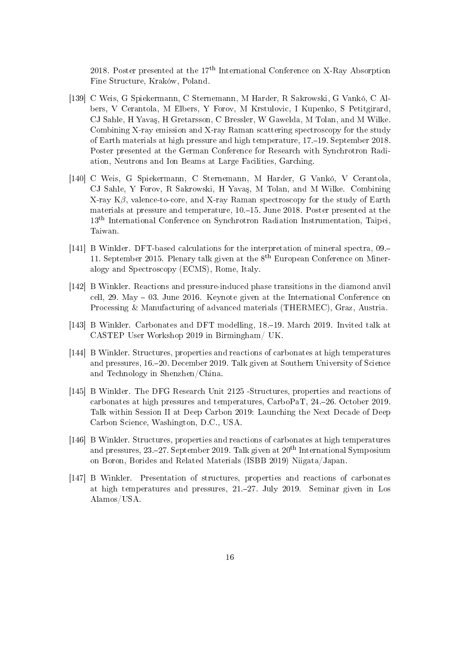2018. Poster presented at the  $17<sup>th</sup>$  International Conference on X-Ray Absorption Fine Structure, Kraków, Poland.

- [139] C Weis, G Spiekermann, C Sternemann, M Harder, R Sakrowski, G Vankó, C Albers, V Cerantola, M Elbers, Y Forov, M Krstulovic, I Kupenko, S Petitgirard, CJ Sahle, H Yavaş, H Gretarsson, C Bressler, W Gawelda, M Tolan, and M Wilke. Combining X-ray emission and X-ray Raman scattering spectroscopy for the study of Earth materials at high pressure and high temperature, 17.19. September 2018. Poster presented at the German Conference for Research with Synchrotron Radiation, Neutrons and Ion Beams at Large Facilities, Garching.
- [140] C Weis, G Spiekermann, C Sternemann, M Harder, G Vankó, V Cerantola, CJ Sahle, Y Forov, R Sakrowski, H Yavaş, M Tolan, and M Wilke. Combining X-ray  $K\beta$ , valence-to-core, and X-ray Raman spectroscopy for the study of Earth materials at pressure and temperature,  $10,-15$ . June 2018. Poster presented at the 13th International Conference on Synchrotron Radiation Instrumentation, Taipei, Taiwan.
- [141] B Winkler. DFT-based calculations for the interpretation of mineral spectra, 09. 11. September 2015. Plenary talk given at the  $8<sup>th</sup>$  European Conference on Mineralogy and Spectroscopy (ECMS), Rome, Italy.
- [142] B Winkler. Reactions and pressure-induced phase transitions in the diamond anvil cell, 29. May  $-$  03. June 2016. Keynote given at the International Conference on Processing & Manufacturing of advanced materials (THERMEC), Graz, Austria.
- [143] B Winkler. Carbonates and DFT modelling, 18.–19. March 2019. Invited talk at CASTEP User Workshop 2019 in Birmingham/ UK.
- [144] B Winkler. Structures, properties and reactions of carbonates at high temperatures and pressures, 16.20. December 2019. Talk given at Southern University of Science and Technology in Shenzhen/China.
- [145] B Winkler. The DFG Research Unit 2125 -Structures, properties and reactions of carbonates at high pressures and temperatures, CarboPaT, 24.26. October 2019. Talk within Session II at Deep Carbon 2019: Launching the Next Decade of Deep Carbon Science, Washington, D.C., USA.
- [146] B Winkler. Structures, properties and reactions of carbonates at high temperatures and pressures,  $23-27$ . September 2019. Talk given at  $20<sup>th</sup>$  International Symposium on Boron, Borides and Related Materials (ISBB 2019) Niigata/Japan.
- [147] B Winkler. Presentation of structures, properties and reactions of carbonates at high temperatures and pressures, 21.27. July 2019. Seminar given in Los Alamos/USA.